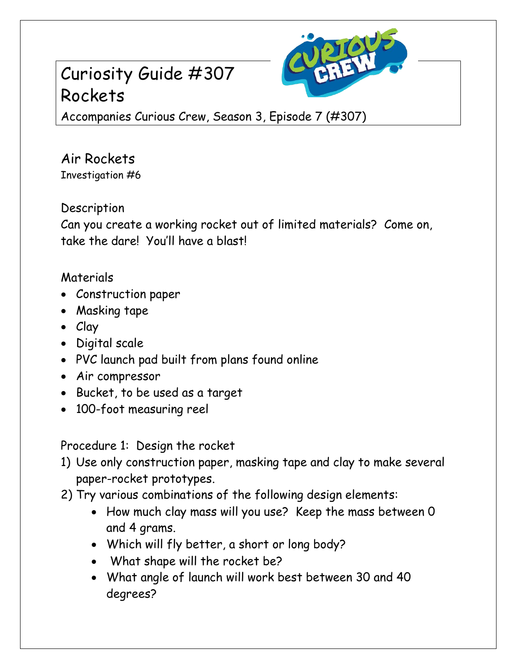## Curiosity Guide #307 Rockets



Accompanies Curious Crew, Season 3, Episode 7 (#307)

Air Rockets Investigation #6

Description

Can you create a working rocket out of limited materials? Come on, take the dare! You'll have a blast!

## Materials

- Construction paper
- Masking tape
- Clay
- Digital scale
- PVC launch pad built from plans found online
- Air compressor
- Bucket, to be used as a target
- 100-foot measuring reel

Procedure 1: Design the rocket

- 1) Use only construction paper, masking tape and clay to make several paper-rocket prototypes.
- 2) Try various combinations of the following design elements:
	- How much clay mass will you use? Keep the mass between 0 and 4 grams.
	- Which will fly better, a short or long body?
	- What shape will the rocket be?
	- What angle of launch will work best between 30 and 40 degrees?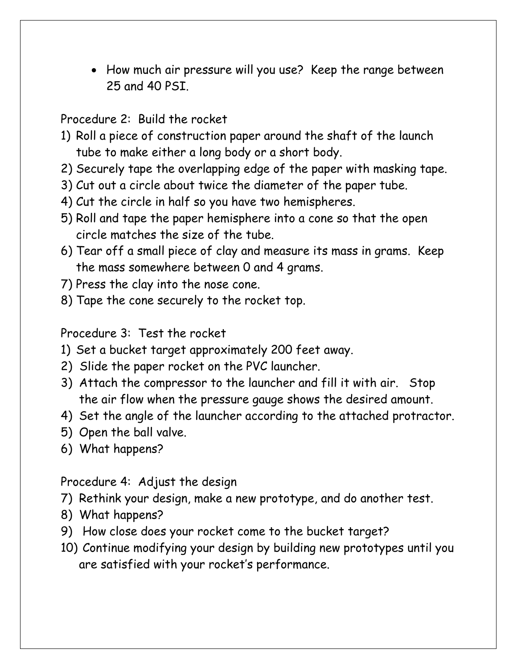• How much air pressure will you use? Keep the range between 25 and 40 PSI.

Procedure 2: Build the rocket

- 1) Roll a piece of construction paper around the shaft of the launch tube to make either a long body or a short body.
- 2) Securely tape the overlapping edge of the paper with masking tape.
- 3) Cut out a circle about twice the diameter of the paper tube.
- 4) Cut the circle in half so you have two hemispheres.
- 5) Roll and tape the paper hemisphere into a cone so that the open circle matches the size of the tube.
- 6) Tear off a small piece of clay and measure its mass in grams. Keep the mass somewhere between 0 and 4 grams.
- 7) Press the clay into the nose cone.
- 8) Tape the cone securely to the rocket top.

Procedure 3: Test the rocket

- 1) Set a bucket target approximately 200 feet away.
- 2) Slide the paper rocket on the PVC launcher.
- 3) Attach the compressor to the launcher and fill it with air. Stop the air flow when the pressure gauge shows the desired amount.
- 4) Set the angle of the launcher according to the attached protractor.
- 5) Open the ball valve.
- 6) What happens?

Procedure 4: Adjust the design

- 7) Rethink your design, make a new prototype, and do another test.
- 8) What happens?
- 9) How close does your rocket come to the bucket target?
- 10) Continue modifying your design by building new prototypes until you are satisfied with your rocket's performance.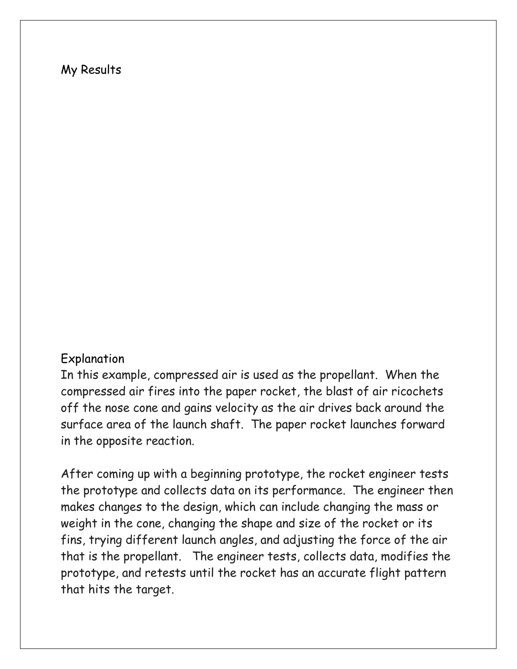## My Results

## Explanation

In this example, compressed air is used as the propellant. When the compressed air fires into the paper rocket, the blast of air ricochets off the nose cone and gains velocity as the air drives back around the surface area of the launch shaft. The paper rocket launches forward in the opposite reaction.

After coming up with a beginning prototype, the rocket engineer tests the prototype and collects data on its performance. The engineer then makes changes to the design, which can include changing the mass or weight in the cone, changing the shape and size of the rocket or its fins, trying different launch angles, and adjusting the force of the air that is the propellant. The engineer tests, collects data, modifies the prototype, and retests until the rocket has an accurate flight pattern that hits the target.